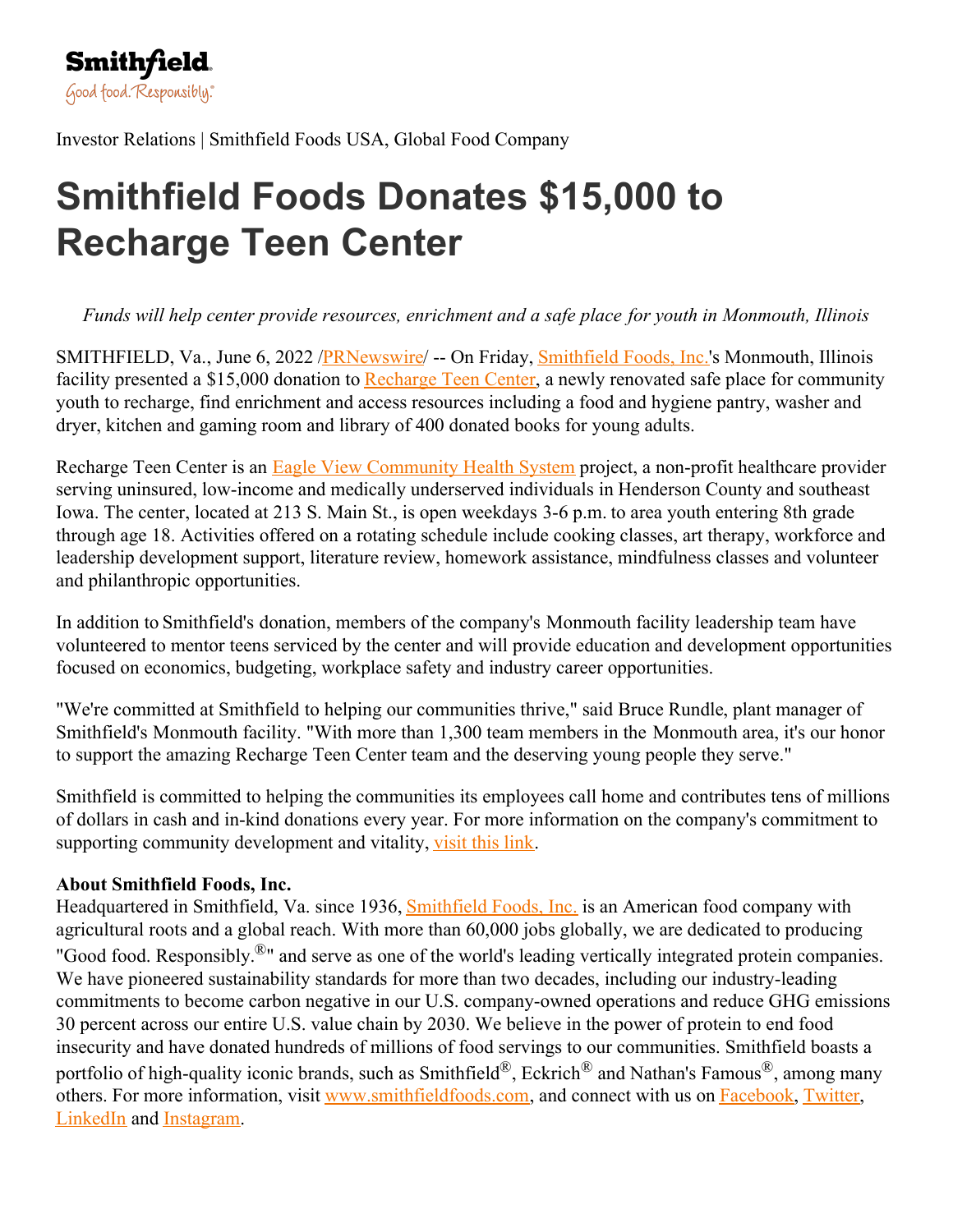

Investor Relations | Smithfield Foods USA, Global Food Company

## **Smithfield Foods Donates \$15,000 to Recharge Teen Center**

*Funds will help center provide resources, enrichment and a safe place for youth in Monmouth, Illinois*

SMITHFIELD, Va., June 6, 2022 / PRNewswire -- On Friday, [Smithfield](https://c212.net/c/link/?t=0&l=en&o=3558421-1&h=349735678&u=https%3A%2F%2Fc212.net%2Fc%2Flink%2F%3Ft%3D0%26l%3Den%26o%3D2990869-1%26h%3D3249247956%26u%3Dhttps%253A%252F%252Fwww.globenewswire.com%252FTracker%253Fdata%253D1uc2aqGWzovVsdMYz6udIaW_PcwLdDzYgSzv_CVQcnKZ9nUo4NWUMBKx65walTu3YzSlrZZ2hKOaI66vt8XI6oDAUTxmRvN5Gj6o9FUe-8A%253D%26a%3DSmithfield%2BFoods%252C%2BInc.&a=Smithfield+Foods%2C+Inc.) Foods, Inc.'s Monmouth, Illinois facility presented a \$15,000 donation to [Recharge](https://c212.net/c/link/?t=0&l=en&o=3558421-1&h=2930344799&u=https%3A%2F%2Fwww.eagleviewhealth.org%2Fteen-center&a=Recharge+Teen+Center) Teen Center, a newly renovated safe place for community youth to recharge, find enrichment and access resources including a food and hygiene pantry, washer and dryer, kitchen and gaming room and library of 400 donated books for young adults.

Recharge Teen Center is an Eagle View [Community](https://c212.net/c/link/?t=0&l=en&o=3558421-1&h=1050237302&u=https%3A%2F%2Fwww.eagleviewhealth.org%2F&a=Eagle+View+Community+Health+System) Health System project, a non-profit healthcare provider serving uninsured, low-income and medically underserved individuals in Henderson County and southeast Iowa. The center, located at 213 S. Main St., is open weekdays 3-6 p.m. to area youth entering 8th grade through age 18. Activities offered on a rotating schedule include cooking classes, art therapy, workforce and leadership development support, literature review, homework assistance, mindfulness classes and volunteer and philanthropic opportunities.

In addition to Smithfield's donation, members of the company's Monmouth facility leadership team have volunteered to mentor teens serviced by the center and will provide education and development opportunities focused on economics, budgeting, workplace safety and industry career opportunities.

"We're committed at Smithfield to helping our communities thrive," said Bruce Rundle, plant manager of Smithfield's Monmouth facility. "With more than 1,300 team members in the Monmouth area, it's our honor to support the amazing Recharge Teen Center team and the deserving young people they serve."

Smithfield is committed to helping the communities its employees call home and contributes tens of millions of dollars in cash and in-kind donations every year. For more information on the company's commitment to supporting community development and vitality, [visit](https://c212.net/c/link/?t=0&l=en&o=3558421-1&h=1894944138&u=https%3A%2F%2Fwww.smithfieldfoods.com%2Fhelping-communities&a=visit+this+link) this link.

## **About Smithfield Foods, Inc.**

Headquartered in [Smithfield](https://c212.net/c/link/?t=0&l=en&o=3558421-1&h=1038183484&u=https%3A%2F%2Fwww.smithfieldfoods.com%2F&a=Smithfield+Foods%2C+Inc.), Va. since 1936, **Smithfield Foods**, Inc. is an American food company with agricultural roots and a global reach. With more than 60,000 jobs globally, we are dedicated to producing "Good food. Responsibly.<sup>®</sup>" and serve as one of the world's leading vertically integrated protein companies. We have pioneered sustainability standards for more than two decades, including our industry-leading commitments to become carbon negative in our U.S. company-owned operations and reduce GHG emissions 30 percent across our entire U.S. value chain by 2030. We believe in the power of protein to end food insecurity and have donated hundreds of millions of food servings to our communities. Smithfield boasts a portfolio of high-quality iconic brands, such as Smithfield<sup>®</sup>, Eckrich<sup>®</sup> and Nathan's Famous<sup>®</sup>, among many others. For more information, visit [www.smithfieldfoods.com](https://c212.net/c/link/?t=0&l=en&o=3558421-1&h=2408239676&u=https%3A%2F%2Fc212.net%2Fc%2Flink%2F%3Ft%3D0%26l%3Den%26o%3D3409886-1%26h%3D2666258769%26u%3Dhttp%253A%252F%252Fwww.smithfieldfoods.com%252F%26a%3Dwww.smithfieldfoods.com&a=www.smithfieldfoods.com), and connect with us on [Facebook](https://c212.net/c/link/?t=0&l=en&o=3558421-1&h=781517308&u=https%3A%2F%2Fc212.net%2Fc%2Flink%2F%3Ft%3D0%26l%3Den%26o%3D3409886-1%26h%3D882790771%26u%3Dhttps%253A%252F%252Fwww.globenewswire.com%252FTracker%253Fdata%253DyIyU2_DwhOZVC934YdVu9h4-pva7g_E84bIOO4QsL4sxD8lWaPJiXsluj8g80cYlJ5yVKlAUXRCV_NN7a2IVHFcpvi6v_7MIuJttE6f10Ew%253D%26a%3DFacebook&a=Facebook), [Twitter](https://c212.net/c/link/?t=0&l=en&o=3558421-1&h=303650455&u=https%3A%2F%2Fc212.net%2Fc%2Flink%2F%3Ft%3D0%26l%3Den%26o%3D3409886-1%26h%3D514171541%26u%3Dhttps%253A%252F%252Fwww.globenewswire.com%252FTracker%253Fdata%253D_Mp-eRAEQIhYDx9IzeScisVSU5VHLTZgWbv-t1TLPL6rfeIqHHMuJUM4Nfc7RjeC7YlQXXOyzGs96kX5tlFYKDZnLTYeDteXyaaU6g_y0CM%253D%26a%3DTwitter&a=Twitter), [LinkedIn](https://c212.net/c/link/?t=0&l=en&o=3558421-1&h=3839237800&u=https%3A%2F%2Fc212.net%2Fc%2Flink%2F%3Ft%3D0%26l%3Den%26o%3D3409886-1%26h%3D2680507101%26u%3Dhttps%253A%252F%252Fwww.globenewswire.com%252FTracker%253Fdata%253Deazz6c7YoHDQRtzwIpmoXghhTzZRHdwyg8WQZnJ3g0dmqltaPTSmSIhEQzLIteXYiT00QzKYJDEcn1ZQWA49yWcMz2QW4TPcNHGjhFLDoDo%253D%26a%3DLinkedIn&a=LinkedIn) and [Instagram](https://c212.net/c/link/?t=0&l=en&o=3558421-1&h=1116785761&u=https%3A%2F%2Fc212.net%2Fc%2Flink%2F%3Ft%3D0%26l%3Den%26o%3D3409886-1%26h%3D3180989234%26u%3Dhttps%253A%252F%252Fwww.globenewswire.com%252FTracker%253Fdata%253DOeoveY-wSZehNmjqJ8gRIfZ4QIepex3mSp7uW36tHWcjxeND1fD2aa_ZlQD2TeKN-3W1Vphm-x3wenmRQJN4F4bCDCwMLuTqkxNb4Zo0tCk%253D%26a%3DInstagram&a=Instagram).